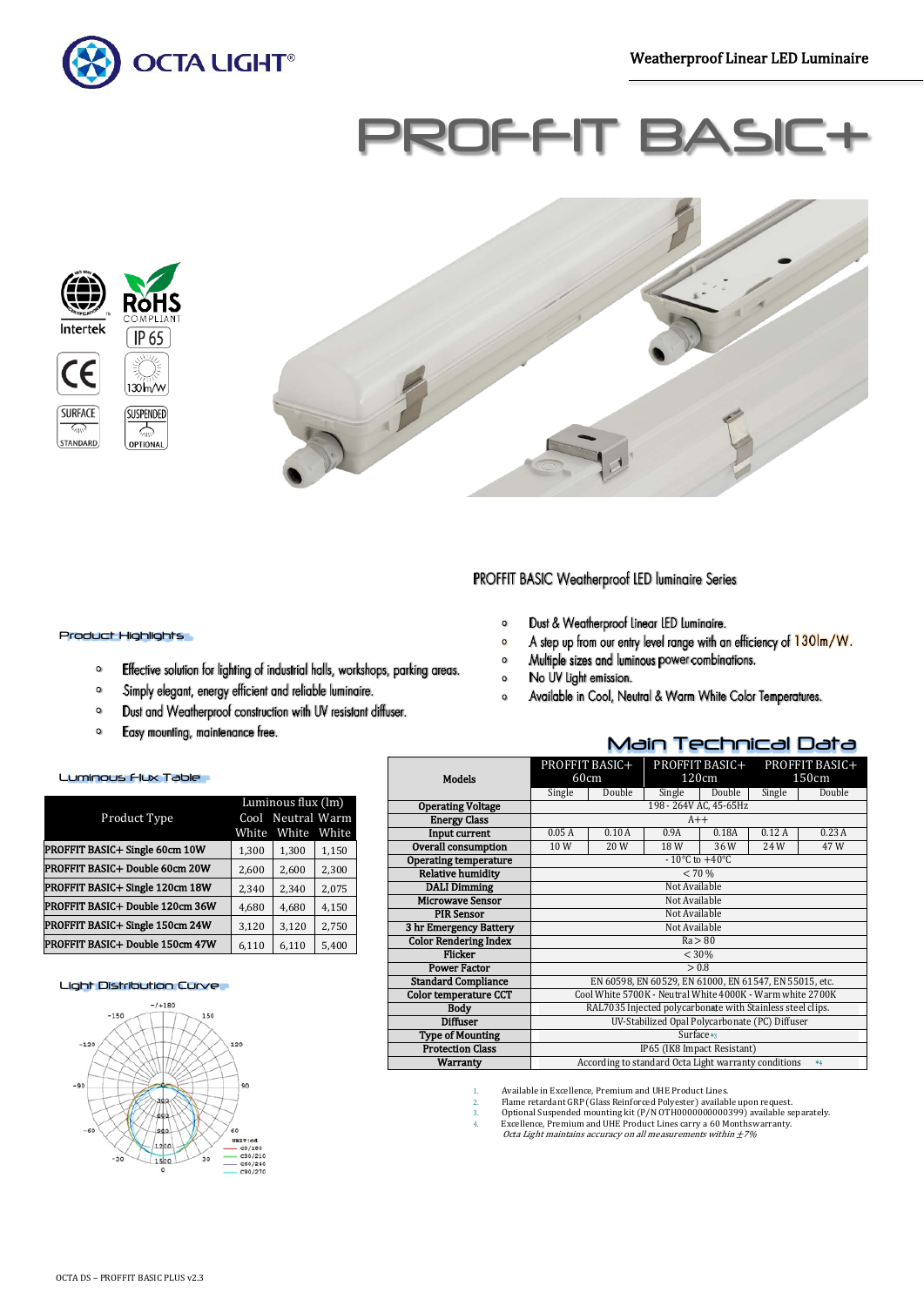

# PROFFIT BA





### PROFFIT BASIC Weatherproof LED luminaire Series

- Dust & Weatherproof Linear LED Luminaire.  $\bullet$
- A step up from our entry level range with an efficiency of 1301m/W.  $\circ$

Main Technical Data

- Multiple sizes and luminous power combinations.  $\mathbf{o}$
- No UV Light emission.  $\circ$
- Available in Cool, Neutral & Warm White Color Temperatures.  $\circ$

#### $\mathbf{o}$ Easy mounting, maintenance free.

#### Luminous Flux Table

Product Highlights

 $\bullet$ 

 $\bullet$ 

 $\mathbf 0$ 

|                                 | Luminous flux (lm) |              |       |  |  |
|---------------------------------|--------------------|--------------|-------|--|--|
| Product Type                    | Cool               | Neutral Warm |       |  |  |
|                                 | White              | White        | White |  |  |
| PROFFIT BASIC+ Single 60cm 10W  | 1,300              | 1,300        | 1,150 |  |  |
| PROFFIT BASIC+ Double 60cm 20W  | 2,600              | 2,600        | 2,300 |  |  |
| PROFFIT BASIC+ Single 120cm 18W | 2,340              | 2,340        | 2,075 |  |  |
| PROFFIT BASIC+ Double 120cm 36W | 4,680              | 4,680        | 4,150 |  |  |
| PROFFIT BASIC+ Single 150cm 24W | 3,120              | 3,120        | 2,750 |  |  |
| PROFFIT BASIC+ Double 150cm 47W | 6,110              | 6,110        | 5,400 |  |  |

Effective solution for lighting of industrial halls, workshops, parking areas.

Simply elegant, energy efficient and reliable luminaire.

Dust and Weatherproof construction with UV resistant diffuser.

#### Light Distribution Curve



|                              | PROFFIT BASIC+                                               |        | PROFFIT BASIC+                                         |        | PROFFIT BASIC+ |        |
|------------------------------|--------------------------------------------------------------|--------|--------------------------------------------------------|--------|----------------|--------|
| Models                       | 60cm                                                         |        | 120cm                                                  |        | 150cm          |        |
|                              | Single                                                       | Double | Single                                                 | Double | Single         | Double |
| <b>Operating Voltage</b>     |                                                              |        | 198 - 264V AC, 45-65Hz                                 |        |                |        |
| <b>Energy Class</b>          |                                                              |        | $A++$                                                  |        |                |        |
| Input current                | 0.05A                                                        | 0.10A  | 0.9A                                                   | 0.18A  | 0.12A          | 0.23A  |
| <b>Overall consumption</b>   | 10W                                                          | 20W    | 18W                                                    | 36W    | 24 W           | 47W    |
| <b>Operating temperature</b> |                                                              |        | $-10\degree$ C to $+40\degree$ C                       |        |                |        |
| <b>Relative humidity</b>     |                                                              |        | < 70 %                                                 |        |                |        |
| <b>DALI Dimming</b>          |                                                              |        | Not Available                                          |        |                |        |
| <b>Microwave Sensor</b>      | Not Available                                                |        |                                                        |        |                |        |
| <b>PIR Sensor</b>            | Not Available                                                |        |                                                        |        |                |        |
| 3 hr Emergency Battery       | Not Available                                                |        |                                                        |        |                |        |
| <b>Color Rendering Index</b> | Ra > 80                                                      |        |                                                        |        |                |        |
| Flicker                      | < 30%                                                        |        |                                                        |        |                |        |
| <b>Power Factor</b>          |                                                              |        | > 0.8                                                  |        |                |        |
| <b>Standard Compliance</b>   |                                                              |        | EN 60598, EN 60529, EN 61000, EN 61547, EN 55015, etc. |        |                |        |
| <b>Color temperature CCT</b> | Cool White 5700K - Neutral White 4000K - Warm white 2700K    |        |                                                        |        |                |        |
| <b>Body</b>                  | RAL7035 Injected polycarbonate with Stainless steel clips.   |        |                                                        |        |                |        |
| <b>Diffuser</b>              | UV-Stabilized Opal Polycarbonate (PC) Diffuser               |        |                                                        |        |                |        |
| <b>Type of Mounting</b>      | Surface*3                                                    |        |                                                        |        |                |        |
| <b>Protection Class</b>      | IP65 (IK8 Impact Resistant)                                  |        |                                                        |        |                |        |
| <b>Warranty</b>              | According to standard Octa Light warranty conditions<br>$*4$ |        |                                                        |        |                |        |

- 1. Available in Excellence, Premium and UHE Product Lines. 2. Flame retardant GRP (Glass Reinforced Polyester) available upon request.
- 
- 3. Optional Suspended mounting kit (P/N OTH00000000000399) available separately.<br>
4. Excellence, Premium and UHE Product Lines carry a 60 Months warranty.<br> *Octa Light maintains accuracy on all measurements within ±7%*
-